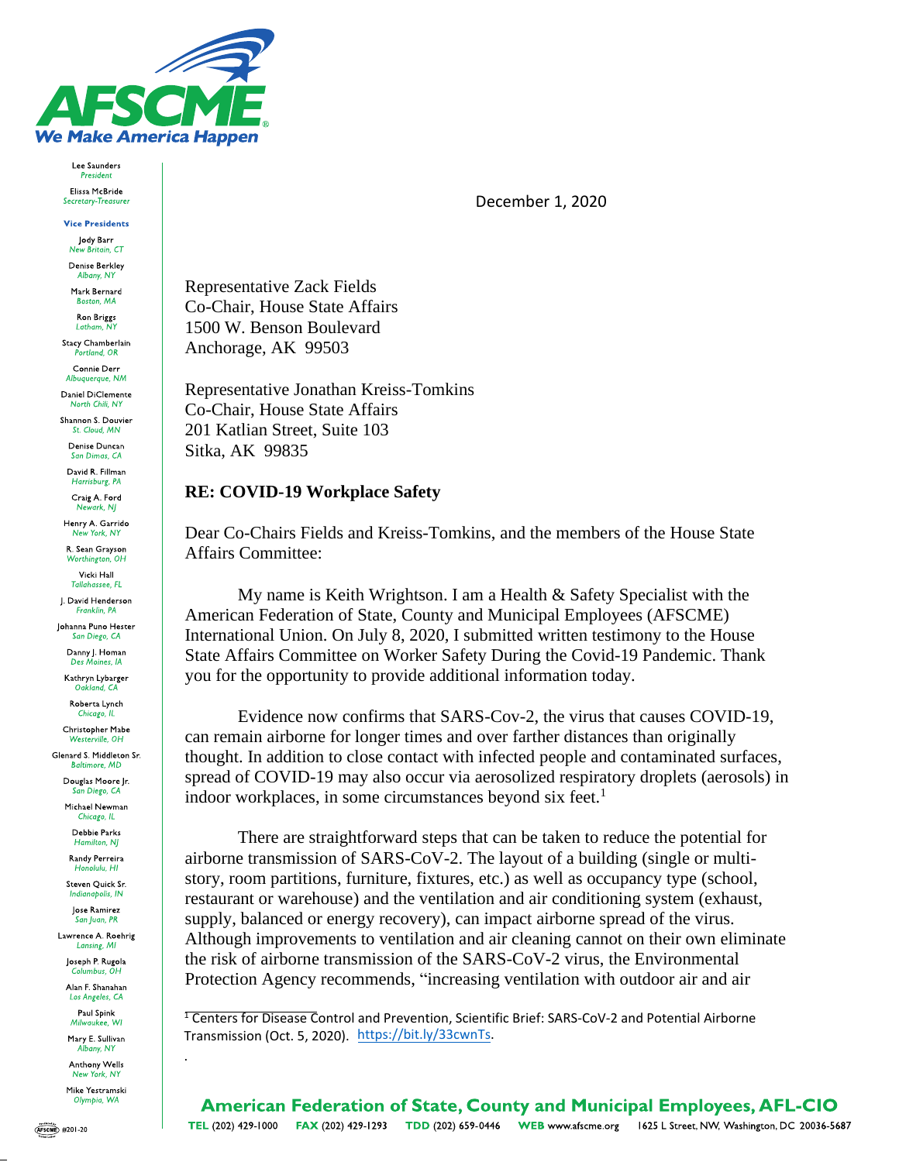

Lee Saunders President Elissa McBride Secretary-Treasu

**Vice Presidents** Jody Barr New Britain CT

Denise Berkley Albany, NY

Mark Bernard Boston, MA

Ron Briggs Latham, NY

Stacy Chamberlain rtland, OR

Connie Derr Albuquerque, NM Daniel DiClemente

North Chili, NY

Shannon S. Douvier St. Cloud, MN

Denise Duncan San Dimas, CA

David R. Fillman Harrisburg, PA

Craig A. Ford Newark, NJ

Henry A. Garrido New York, NY

R. Sean Grayson Worthington, OH

Vicki Hall Tallahassee, FL

J. David Henderson

Franklin, PA Johanna Puno Hester

San Diego, CA Danny I. Homan

Des Moines, IA

Kathryn Lybarger Oakland, CA

Roberta Lynch Chicago, IL

Christopher Mabe Westerville, OH

Glenard S. Middleton Sr. **Baltimore, MD** 

> Douglas Moore Jr. San Diego, CA

Michael Newman Chicago, IL

Debbie Parks Hamilton, NJ

Randy Perreira Honolulu, HI

Steven Quick Sr. Indianapolis, IN

Jose Ramirez San Juan, PR

Lawrence A. Roehrig Lansing, MI

Joseph P. Rugola Columbus, OH

Alan F. Shanahan Los Angeles, CA

Paul Spink Milwaukee, WI

Mary E. Sullivan Albany, NY

Anthony Wells New York, NY

Mike Yestramski Olympia, WA

December 1, 2020

**Representative Zack Fields** Co-Chair, House State Affairs 1500 W. Benson Boulevard Anchorage, AK 99503

Representative Jonathan Kreiss-Tomkins Co-Chair, House State Affairs 201 Katlian Street, Suite 103 Sitka, AK 99835

# **RE: COVID-19 Workplace Safety**

Dear Co-Chairs Fields and Kreiss-Tomkins, and the members of the House State **Affairs Committee:** 

My name is Keith Wrightson. I am a Health & Safety Specialist with the American Federation of State, County and Municipal Employees (AFSCME) International Union. On July 8, 2020, I submitted written testimony to the House State Affairs Committee on Worker Safety During the Covid-19 Pandemic. Thank you for the opportunity to provide additional information today.

Evidence now confirms that SARS-Cov-2, the virus that causes COVID-19. can remain airborne for longer times and over farther distances than originally thought. In addition to close contact with infected people and contaminated surfaces, spread of COVID-19 may also occur via aerosolized respiratory droplets (aerosols) in indoor workplaces, in some circumstances beyond six feet.<sup>1</sup>

There are straightforward steps that can be taken to reduce the potential for airborne transmission of SARS-CoV-2. The layout of a building (single or multistory, room partitions, furniture, fixtures, etc.) as well as occupancy type (school, restaurant or warehouse) and the ventilation and air conditioning system (exhaust, supply, balanced or energy recovery), can impact airborne spread of the virus. Although improvements to ventilation and air cleaning cannot on their own eliminate the risk of airborne transmission of the SARS-CoV-2 virus, the Environmental Protection Agency recommends, "increasing ventilation with outdoor air and air

<sup>1</sup> Centers for Disease Control and Prevention, Scientific Brief: SARS-CoV-2 and Potential Airborne Transmission (Oct. 5, 2020). https://bit.ly/33cwnTs.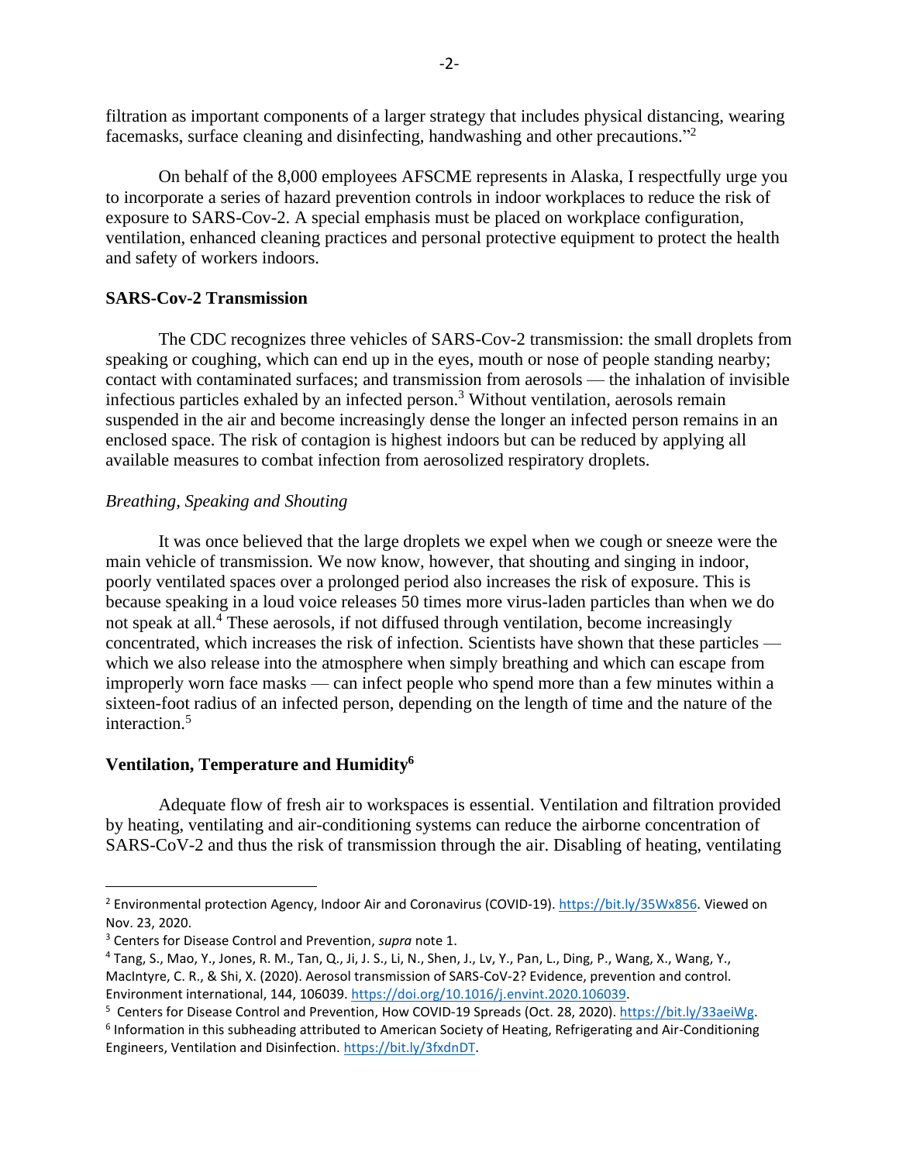filtration as important components of a larger strategy that includes physical distancing, wearing facemasks, surface cleaning and disinfecting, handwashing and other precautions."<sup>2</sup>

On behalf of the 8,000 employees AFSCME represents in Alaska, I respectfully urge you to incorporate a series of hazard prevention controls in indoor workplaces to reduce the risk of exposure to SARS-Cov-2. A special emphasis must be placed on workplace configuration, ventilation, enhanced cleaning practices and personal protective equipment to protect the health and safety of workers indoors.

### **SARS-Cov-2 Transmission**

The CDC recognizes three vehicles of SARS-Cov-2 transmission: the small droplets from speaking or coughing, which can end up in the eyes, mouth or nose of people standing nearby; contact with contaminated surfaces; and transmission from aerosols — the inhalation of invisible infectious particles exhaled by an infected person.<sup>3</sup> Without ventilation, aerosols remain suspended in the air and become increasingly dense the longer an infected person remains in an enclosed space. The risk of contagion is highest indoors but can be reduced by applying all available measures to combat infection from aerosolized respiratory droplets.

#### *Breathing, Speaking and Shouting*

It was once believed that the large droplets we expel when we cough or sneeze were the main vehicle of transmission. We now know, however, that shouting and singing in indoor, poorly ventilated spaces over a prolonged period also increases the risk of exposure. This is because speaking in a loud voice releases 50 times more virus-laden particles than when we do not speak at all.<sup>4</sup> These aerosols, if not diffused through ventilation, become increasingly concentrated, which increases the risk of infection. Scientists have shown that these particles which we also release into the atmosphere when simply breathing and which can escape from improperly worn face masks — can infect people who spend more than a few minutes within a sixteen-foot radius of an infected person, depending on the length of time and the nature of the interaction.<sup>5</sup>

### **Ventilation, Temperature and Humidity<sup>6</sup>**

Adequate flow of fresh air to workspaces is essential. Ventilation and filtration provided by heating, ventilating and air-conditioning systems can reduce the airborne concentration of SARS-CoV-2 and thus the risk of transmission through the air. Disabling of heating, ventilating

<sup>&</sup>lt;sup>2</sup> Environmental protection Agency, Indoor Air and Coronavirus (COVID-19). [https://bit.ly/35Wx856.](https://bit.ly/35Wx856) Viewed on Nov. 23, 2020.

<sup>3</sup> Centers for Disease Control and Prevention, *supra* note 1.

<sup>4</sup> Tang, S., Mao, Y., Jones, R. M., Tan, Q., Ji, J. S., Li, N., Shen, J., Lv, Y., Pan, L., Ding, P., Wang, X., Wang, Y., MacIntyre, C. R., & Shi, X. (2020). Aerosol transmission of SARS-CoV-2? Evidence, prevention and control. Environment international, 144, 106039[. https://doi.org/10.1016/j.envint.2020.106039.](https://doi.org/10.1016/j.envint.2020.106039)

<sup>&</sup>lt;sup>5</sup> Centers for Disease Control and Prevention, How COVID-19 Spreads (Oct. 28, 2020). [https://bit.ly/33aeiWg.](https://bit.ly/33aeiWg) <sup>6</sup> Information in this subheading attributed to American Society of Heating, Refrigerating and Air-Conditioning Engineers, Ventilation and Disinfection. [https://bit.ly/3fxdnDT.](https://bit.ly/3fxdnDT)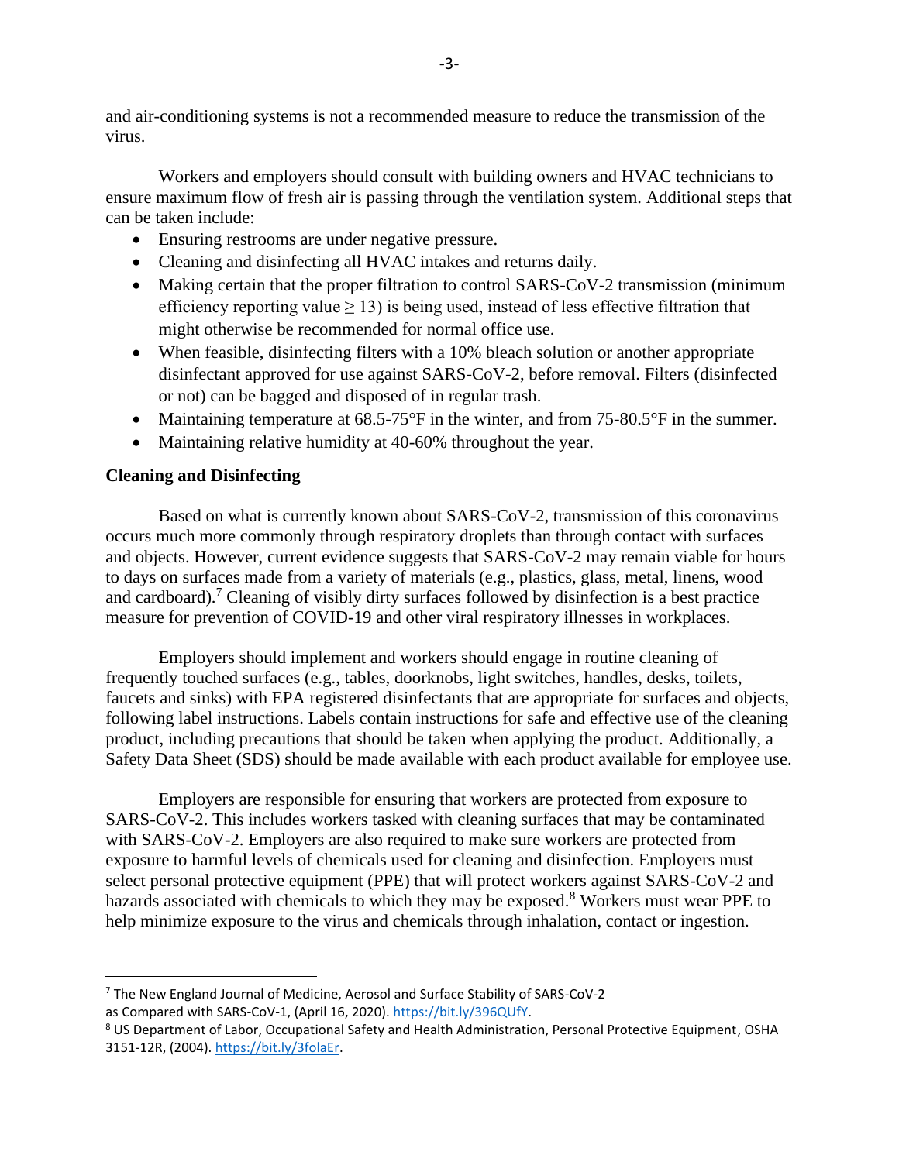and air-conditioning systems is not a recommended measure to reduce the transmission of the virus.

Workers and employers should consult with building owners and HVAC technicians to ensure maximum flow of fresh air is passing through the ventilation system. Additional steps that can be taken include:

- Ensuring restrooms are under negative pressure.
- Cleaning and disinfecting all HVAC intakes and returns daily.
- Making certain that the proper filtration to control SARS-CoV-2 transmission (minimum efficiency reporting value  $> 13$ ) is being used, instead of less effective filtration that might otherwise be recommended for normal office use.
- When feasible, disinfecting filters with a 10% bleach solution or another appropriate disinfectant approved for use against SARS-CoV-2, before removal. Filters (disinfected or not) can be bagged and disposed of in regular trash.
- Maintaining temperature at 68.5-75°F in the winter, and from 75-80.5°F in the summer.
- Maintaining relative humidity at 40-60% throughout the year.

# **Cleaning and Disinfecting**

Based on what is currently known about SARS-CoV-2, transmission of this coronavirus occurs much more commonly through respiratory droplets than through contact with surfaces and objects. However, current evidence suggests that SARS-CoV-2 may remain viable for hours to days on surfaces made from a variety of materials (e.g., plastics, glass, metal, linens, wood and cardboard).<sup>7</sup> Cleaning of visibly dirty surfaces followed by disinfection is a best practice measure for prevention of COVID-19 and other viral respiratory illnesses in workplaces.

Employers should implement and workers should engage in routine cleaning of frequently touched surfaces (e.g., tables, doorknobs, light switches, handles, desks, toilets, faucets and sinks) with EPA registered disinfectants that are appropriate for surfaces and objects, following label instructions. Labels contain instructions for safe and effective use of the cleaning product, including precautions that should be taken when applying the product. Additionally, a Safety Data Sheet (SDS) should be made available with each product available for employee use.

Employers are responsible for ensuring that workers are protected from exposure to SARS-CoV-2. This includes workers tasked with cleaning surfaces that may be contaminated with SARS-CoV-2. Employers are also required to make sure workers are protected from exposure to harmful levels of chemicals used for cleaning and disinfection. Employers must select personal protective equipment (PPE) that will protect workers against SARS-CoV-2 and hazards associated with chemicals to which they may be exposed.<sup>8</sup> Workers must wear PPE to help minimize exposure to the virus and chemicals through inhalation, contact or ingestion.

<sup>7</sup> The New England Journal of Medicine, Aerosol and Surface Stability of SARS-CoV-2

as Compared with SARS-CoV-1, (April 16, 2020). [https://bit.ly/396QUfY.](https://bit.ly/396QUfY)

<sup>8</sup> US Department of Labor, Occupational Safety and Health Administration, Personal Protective Equipment, OSHA 3151-12R, (2004). [https://bit.ly/3folaEr.](https://bit.ly/3folaEr)